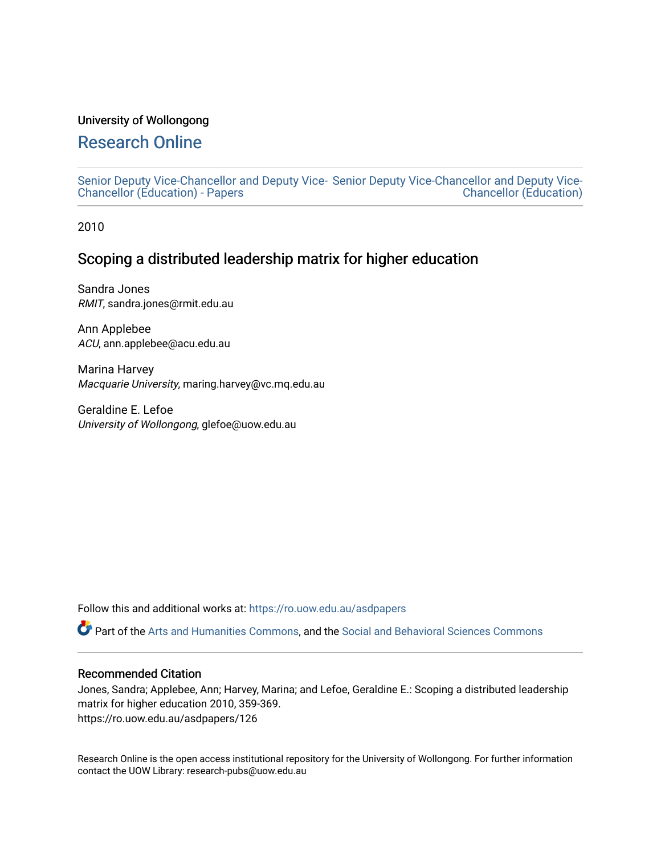#### University of Wollongong

# [Research Online](https://ro.uow.edu.au/)

[Senior Deputy Vice-Chancellor and Deputy Vice-](https://ro.uow.edu.au/asdpapers)[Senior Deputy Vice-Chancellor and Deputy Vice-](https://ro.uow.edu.au/asd)[Chancellor \(Education\) - Papers](https://ro.uow.edu.au/asdpapers)  [Chancellor \(Education\)](https://ro.uow.edu.au/asd) 

2010

## Scoping a distributed leadership matrix for higher education

Sandra Jones RMIT, sandra.jones@rmit.edu.au

Ann Applebee ACU, ann.applebee@acu.edu.au

Marina Harvey Macquarie University, maring.harvey@vc.mq.edu.au

Geraldine E. Lefoe University of Wollongong, glefoe@uow.edu.au

Follow this and additional works at: [https://ro.uow.edu.au/asdpapers](https://ro.uow.edu.au/asdpapers?utm_source=ro.uow.edu.au%2Fasdpapers%2F126&utm_medium=PDF&utm_campaign=PDFCoverPages) 

Part of the [Arts and Humanities Commons,](http://network.bepress.com/hgg/discipline/438?utm_source=ro.uow.edu.au%2Fasdpapers%2F126&utm_medium=PDF&utm_campaign=PDFCoverPages) and the [Social and Behavioral Sciences Commons](http://network.bepress.com/hgg/discipline/316?utm_source=ro.uow.edu.au%2Fasdpapers%2F126&utm_medium=PDF&utm_campaign=PDFCoverPages)

#### Recommended Citation

Jones, Sandra; Applebee, Ann; Harvey, Marina; and Lefoe, Geraldine E.: Scoping a distributed leadership matrix for higher education 2010, 359-369. https://ro.uow.edu.au/asdpapers/126

Research Online is the open access institutional repository for the University of Wollongong. For further information contact the UOW Library: research-pubs@uow.edu.au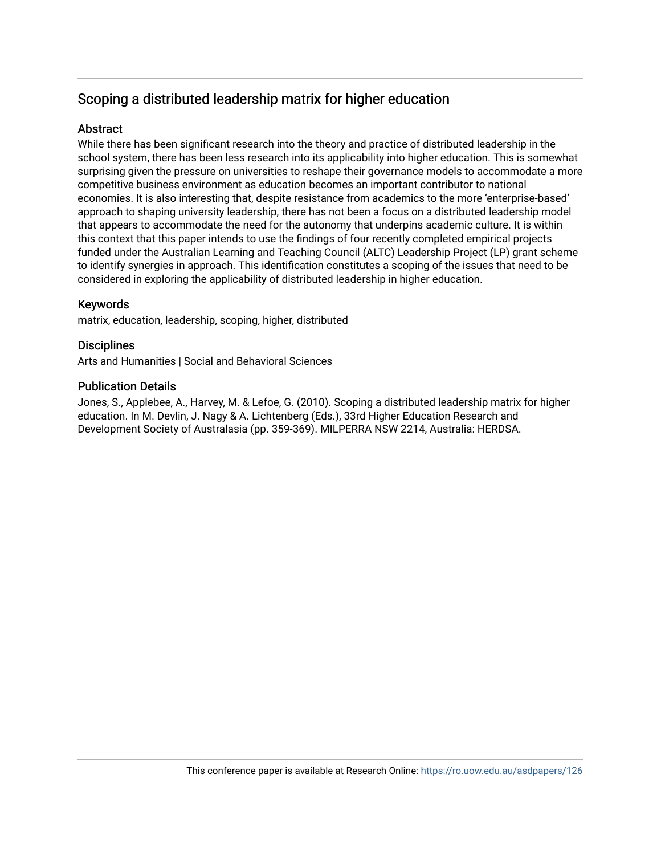# Scoping a distributed leadership matrix for higher education

## **Abstract**

While there has been significant research into the theory and practice of distributed leadership in the school system, there has been less research into its applicability into higher education. This is somewhat surprising given the pressure on universities to reshape their governance models to accommodate a more competitive business environment as education becomes an important contributor to national economies. It is also interesting that, despite resistance from academics to the more 'enterprise-based' approach to shaping university leadership, there has not been a focus on a distributed leadership model that appears to accommodate the need for the autonomy that underpins academic culture. It is within this context that this paper intends to use the findings of four recently completed empirical projects funded under the Australian Learning and Teaching Council (ALTC) Leadership Project (LP) grant scheme to identify synergies in approach. This identification constitutes a scoping of the issues that need to be considered in exploring the applicability of distributed leadership in higher education.

### Keywords

matrix, education, leadership, scoping, higher, distributed

#### **Disciplines**

Arts and Humanities | Social and Behavioral Sciences

#### Publication Details

Jones, S., Applebee, A., Harvey, M. & Lefoe, G. (2010). Scoping a distributed leadership matrix for higher education. In M. Devlin, J. Nagy & A. Lichtenberg (Eds.), 33rd Higher Education Research and Development Society of Australasia (pp. 359-369). MILPERRA NSW 2214, Australia: HERDSA.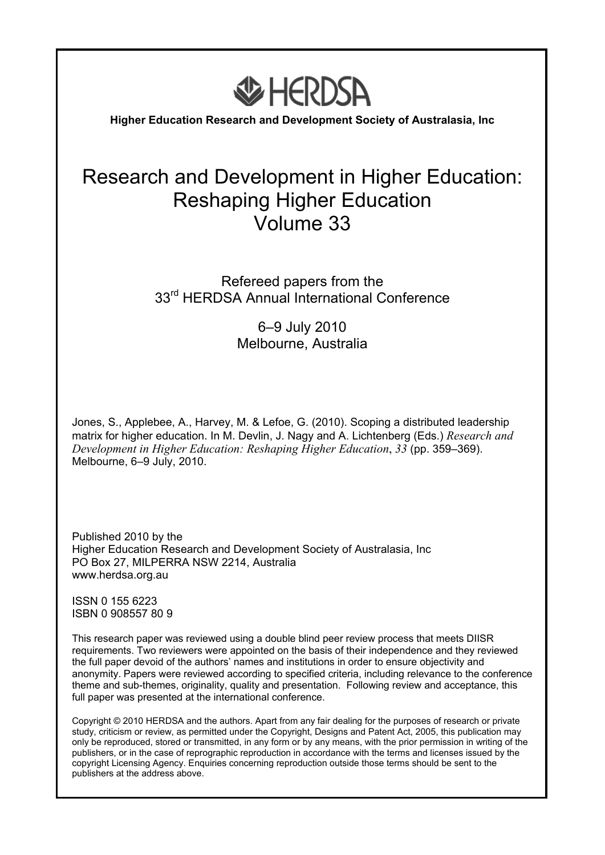

**Higher Education Research and Development Society of Australasia, Inc** 

# Research and Development in Higher Education: Reshaping Higher Education Volume 33

## Refereed papers from the 33<sup>rd</sup> HERDSA Annual International Conference

6–9 July 2010 Melbourne, Australia

Jones, S., Applebee, A., Harvey, M. & Lefoe, G. (2010). Scoping a distributed leadership matrix for higher education. In M. Devlin, J. Nagy and A. Lichtenberg (Eds.) *Research and Development in Higher Education: Reshaping Higher Education*, *33* (pp. 359–369). Melbourne, 6–9 July, 2010.

Published 2010 by the Higher Education Research and Development Society of Australasia, Inc PO Box 27, MILPERRA NSW 2214, Australia www.herdsa.org.au

ISSN 0 155 6223 ISBN 0 908557 80 9

This research paper was reviewed using a double blind peer review process that meets DIISR requirements. Two reviewers were appointed on the basis of their independence and they reviewed the full paper devoid of the authors' names and institutions in order to ensure objectivity and anonymity. Papers were reviewed according to specified criteria, including relevance to the conference theme and sub-themes, originality, quality and presentation. Following review and acceptance, this full paper was presented at the international conference.

Copyright © 2010 HERDSA and the authors. Apart from any fair dealing for the purposes of research or private study, criticism or review, as permitted under the Copyright, Designs and Patent Act, 2005, this publication may only be reproduced, stored or transmitted, in any form or by any means, with the prior permission in writing of the publishers, or in the case of reprographic reproduction in accordance with the terms and licenses issued by the copyright Licensing Agency. Enquiries concerning reproduction outside those terms should be sent to the publishers at the address above.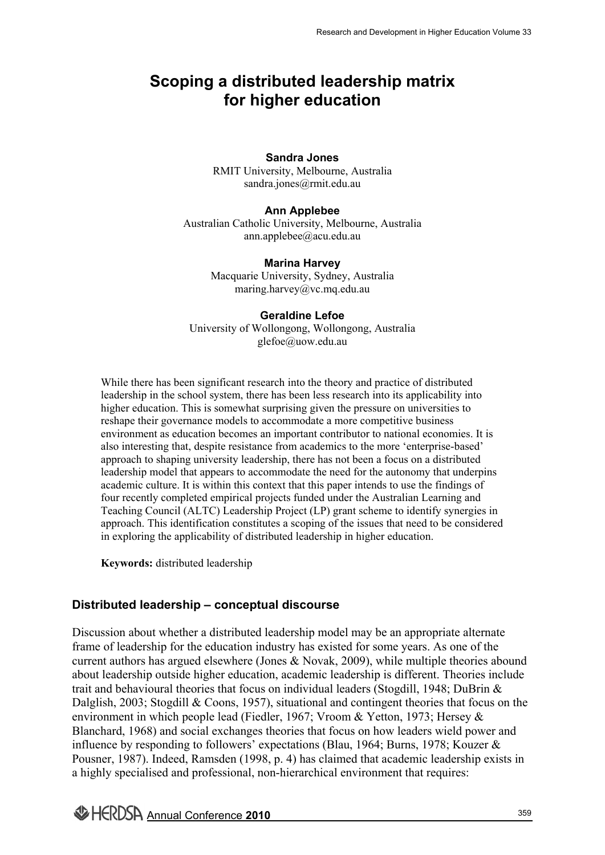# **Scoping a distributed leadership matrix for higher education**

#### **Sandra Jones**

RMIT University, Melbourne, Australia sandra.jones@rmit.edu.au

#### **Ann Applebee**

Australian Catholic University, Melbourne, Australia ann.applebee@acu.edu.au

#### **Marina Harvey**

Macquarie University, Sydney, Australia maring.harvey@vc.mq.edu.au

#### **Geraldine Lefoe**

University of Wollongong, Wollongong, Australia glefoe@uow.edu.au

While there has been significant research into the theory and practice of distributed leadership in the school system, there has been less research into its applicability into higher education. This is somewhat surprising given the pressure on universities to reshape their governance models to accommodate a more competitive business environment as education becomes an important contributor to national economies. It is also interesting that, despite resistance from academics to the more 'enterprise-based' approach to shaping university leadership, there has not been a focus on a distributed leadership model that appears to accommodate the need for the autonomy that underpins academic culture. It is within this context that this paper intends to use the findings of four recently completed empirical projects funded under the Australian Learning and Teaching Council (ALTC) Leadership Project (LP) grant scheme to identify synergies in approach. This identification constitutes a scoping of the issues that need to be considered in exploring the applicability of distributed leadership in higher education.

**Keywords:** distributed leadership

## **Distributed leadership – conceptual discourse**

Discussion about whether a distributed leadership model may be an appropriate alternate frame of leadership for the education industry has existed for some years. As one of the current authors has argued elsewhere (Jones & Novak, 2009), while multiple theories abound about leadership outside higher education, academic leadership is different. Theories include trait and behavioural theories that focus on individual leaders (Stogdill, 1948; DuBrin & Dalglish, 2003; Stogdill & Coons, 1957), situational and contingent theories that focus on the environment in which people lead (Fiedler, 1967; Vroom & Yetton, 1973; Hersey & Blanchard, 1968) and social exchanges theories that focus on how leaders wield power and influence by responding to followers' expectations (Blau, 1964; Burns, 1978; Kouzer & Pousner, 1987). Indeed, Ramsden (1998, p. 4) has claimed that academic leadership exists in a highly specialised and professional, non-hierarchical environment that requires: Research and Development in Higher Education Volume 33<br> **leadership matrix**<br> **ducation**<br> **blue ducation**<br> **complex**<br> **complex**<br> **complex**<br> **complex**<br> **complex**<br> **complex**<br> **complex**<br> **complex**<br> **complex**<br> **complex**<br> **compl**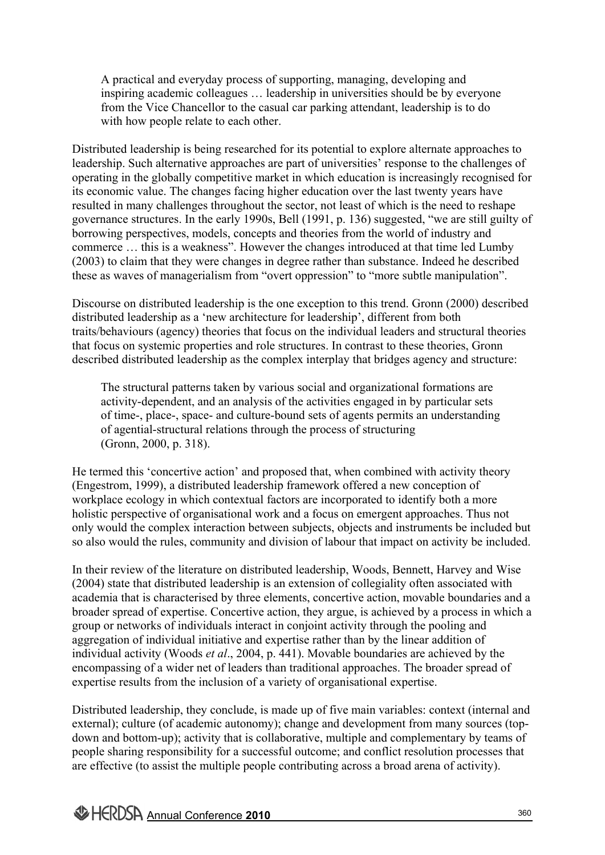A practical and everyday process of supporting, managing, developing and inspiring academic colleagues … leadership in universities should be by everyone from the Vice Chancellor to the casual car parking attendant, leadership is to do with how people relate to each other.

Distributed leadership is being researched for its potential to explore alternate approaches to leadership. Such alternative approaches are part of universities' response to the challenges of operating in the globally competitive market in which education is increasingly recognised for its economic value. The changes facing higher education over the last twenty years have resulted in many challenges throughout the sector, not least of which is the need to reshape governance structures. In the early 1990s, Bell (1991, p. 136) suggested, "we are still guilty of borrowing perspectives, models, concepts and theories from the world of industry and commerce … this is a weakness". However the changes introduced at that time led Lumby (2003) to claim that they were changes in degree rather than substance. Indeed he described these as waves of managerialism from "overt oppression" to "more subtle manipulation".

Discourse on distributed leadership is the one exception to this trend. Gronn (2000) described distributed leadership as a 'new architecture for leadership', different from both traits/behaviours (agency) theories that focus on the individual leaders and structural theories that focus on systemic properties and role structures. In contrast to these theories, Gronn described distributed leadership as the complex interplay that bridges agency and structure:

The structural patterns taken by various social and organizational formations are activity-dependent, and an analysis of the activities engaged in by particular sets of time-, place-, space- and culture-bound sets of agents permits an understanding of agential-structural relations through the process of structuring (Gronn, 2000, p. 318).

He termed this 'concertive action' and proposed that, when combined with activity theory (Engestrom, 1999), a distributed leadership framework offered a new conception of workplace ecology in which contextual factors are incorporated to identify both a more holistic perspective of organisational work and a focus on emergent approaches. Thus not only would the complex interaction between subjects, objects and instruments be included but so also would the rules, community and division of labour that impact on activity be included.

In their review of the literature on distributed leadership, Woods, Bennett, Harvey and Wise (2004) state that distributed leadership is an extension of collegiality often associated with academia that is characterised by three elements, concertive action, movable boundaries and a broader spread of expertise. Concertive action, they argue, is achieved by a process in which a group or networks of individuals interact in conjoint activity through the pooling and aggregation of individual initiative and expertise rather than by the linear addition of individual activity (Woods *et al*., 2004, p. 441). Movable boundaries are achieved by the encompassing of a wider net of leaders than traditional approaches. The broader spread of expertise results from the inclusion of a variety of organisational expertise.

Distributed leadership, they conclude, is made up of five main variables: context (internal and external); culture (of academic autonomy); change and development from many sources (topdown and bottom-up); activity that is collaborative, multiple and complementary by teams of people sharing responsibility for a successful outcome; and conflict resolution processes that are effective (to assist the multiple people contributing across a broad arena of activity).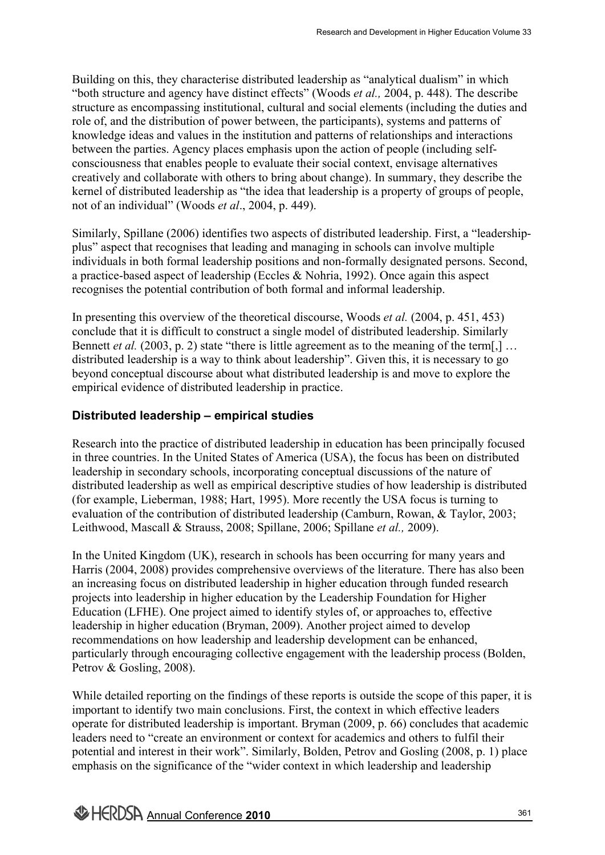Building on this, they characterise distributed leadership as "analytical dualism" in which "both structure and agency have distinct effects" (Woods *et al.,* 2004, p. 448). The describe structure as encompassing institutional, cultural and social elements (including the duties and role of, and the distribution of power between, the participants), systems and patterns of knowledge ideas and values in the institution and patterns of relationships and interactions between the parties. Agency places emphasis upon the action of people (including selfconsciousness that enables people to evaluate their social context, envisage alternatives creatively and collaborate with others to bring about change). In summary, they describe the kernel of distributed leadership as "the idea that leadership is a property of groups of people, not of an individual" (Woods *et al*., 2004, p. 449). Research and Development in Higher Education Volume 33<br>
lership as "analytical dualism" in which<br>
Woods *et al.*, 2004, p. 448). The describe<br>
d social elements (including the duties and<br>
participants), systems and pattern

Similarly, Spillane (2006) identifies two aspects of distributed leadership. First, a "leadershipplus" aspect that recognises that leading and managing in schools can involve multiple individuals in both formal leadership positions and non-formally designated persons. Second, a practice-based aspect of leadership (Eccles & Nohria, 1992). Once again this aspect recognises the potential contribution of both formal and informal leadership.

In presenting this overview of the theoretical discourse, Woods *et al.* (2004, p. 451, 453) conclude that it is difficult to construct a single model of distributed leadership. Similarly Bennett *et al.* (2003, p. 2) state "there is little agreement as to the meaning of the term[,] ... distributed leadership is a way to think about leadership". Given this, it is necessary to go beyond conceptual discourse about what distributed leadership is and move to explore the empirical evidence of distributed leadership in practice.

## **Distributed leadership – empirical studies**

Research into the practice of distributed leadership in education has been principally focused in three countries. In the United States of America (USA), the focus has been on distributed leadership in secondary schools, incorporating conceptual discussions of the nature of distributed leadership as well as empirical descriptive studies of how leadership is distributed (for example, Lieberman, 1988; Hart, 1995). More recently the USA focus is turning to evaluation of the contribution of distributed leadership (Camburn, Rowan, & Taylor, 2003; Leithwood, Mascall & Strauss, 2008; Spillane, 2006; Spillane *et al.,* 2009).

In the United Kingdom (UK), research in schools has been occurring for many years and Harris (2004, 2008) provides comprehensive overviews of the literature. There has also been an increasing focus on distributed leadership in higher education through funded research projects into leadership in higher education by the Leadership Foundation for Higher Education (LFHE). One project aimed to identify styles of, or approaches to, effective leadership in higher education (Bryman, 2009). Another project aimed to develop recommendations on how leadership and leadership development can be enhanced, particularly through encouraging collective engagement with the leadership process (Bolden, Petrov & Gosling, 2008).

While detailed reporting on the findings of these reports is outside the scope of this paper, it is important to identify two main conclusions. First, the context in which effective leaders operate for distributed leadership is important. Bryman (2009, p. 66) concludes that academic leaders need to "create an environment or context for academics and others to fulfil their potential and interest in their work". Similarly, Bolden, Petrov and Gosling (2008, p. 1) place emphasis on the significance of the "wider context in which leadership and leadership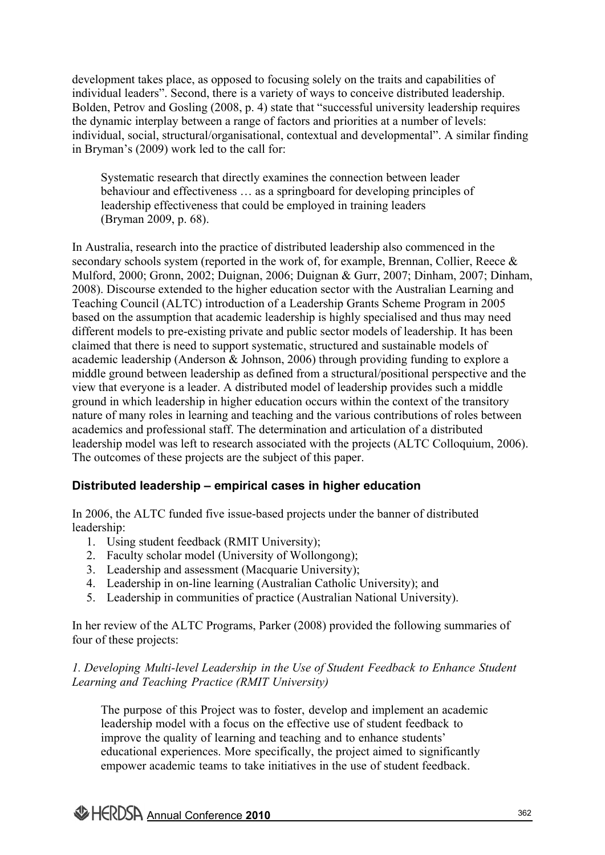development takes place, as opposed to focusing solely on the traits and capabilities of individual leaders". Second, there is a variety of ways to conceive distributed leadership. Bolden, Petrov and Gosling (2008, p. 4) state that "successful university leadership requires the dynamic interplay between a range of factors and priorities at a number of levels: individual, social, structural/organisational, contextual and developmental". A similar finding in Bryman's (2009) work led to the call for:

Systematic research that directly examines the connection between leader behaviour and effectiveness … as a springboard for developing principles of leadership effectiveness that could be employed in training leaders (Bryman 2009, p. 68).

In Australia, research into the practice of distributed leadership also commenced in the secondary schools system (reported in the work of, for example, Brennan, Collier, Reece & Mulford, 2000; Gronn, 2002; Duignan, 2006; Duignan & Gurr, 2007; Dinham, 2007; Dinham, 2008). Discourse extended to the higher education sector with the Australian Learning and Teaching Council (ALTC) introduction of a Leadership Grants Scheme Program in 2005 based on the assumption that academic leadership is highly specialised and thus may need different models to pre-existing private and public sector models of leadership. It has been claimed that there is need to support systematic, structured and sustainable models of academic leadership (Anderson & Johnson, 2006) through providing funding to explore a middle ground between leadership as defined from a structural/positional perspective and the view that everyone is a leader. A distributed model of leadership provides such a middle ground in which leadership in higher education occurs within the context of the transitory nature of many roles in learning and teaching and the various contributions of roles between academics and professional staff. The determination and articulation of a distributed leadership model was left to research associated with the projects (ALTC Colloquium, 2006). The outcomes of these projects are the subject of this paper.

## **Distributed leadership – empirical cases in higher education**

In 2006, the ALTC funded five issue-based projects under the banner of distributed leadership:

- 1. Using student feedback (RMIT University);
- 2. Faculty scholar model (University of Wollongong);
- 3. Leadership and assessment (Macquarie University);
- 4. Leadership in on-line learning (Australian Catholic University); and
- 5. Leadership in communities of practice (Australian National University).

In her review of the ALTC Programs, Parker (2008) provided the following summaries of four of these projects:

## *1. Developing Multi-level Leadership in the Use of Student Feedback to Enhance Student Learning and Teaching Practice (RMIT University)*

The purpose of this Project was to foster, develop and implement an academic leadership model with a focus on the effective use of student feedback to improve the quality of learning and teaching and to enhance students' educational experiences. More specifically, the project aimed to significantly empower academic teams to take initiatives in the use of student feedback.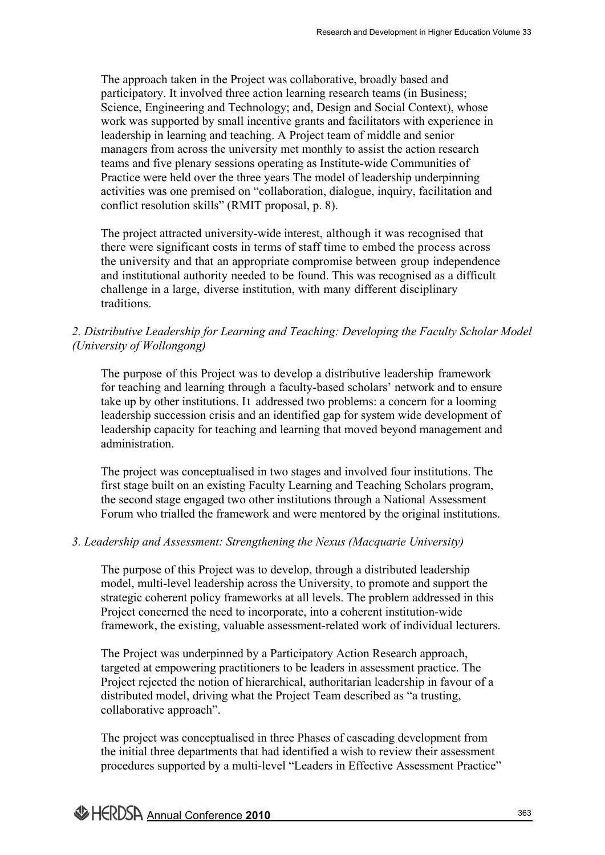The approach taken in the Project was collaborative, broadly based and participatory. It involved three action learning research teams (in Business; Science, Engineering and Technology; and, Design and Social Context), whose work was supported by small incentive grants and facilitators with experience in leadership in learning and teaching. A Project team of middle and senior managers from across the university met monthly to assist the action research teams and five plenary sessions operating as Institute-wide Communities of Practice were held over the three years The model of leadership underpinning activities was one premised on "collaboration, dialogue, inquiry, facilitation and conflict resolution skills" (RMIT proposal, p. 8). Research and Development in Higher Education Volume 33<br>
Dorative, broadly based and<br>
ng research teams (in Business;<br>
Elosign and Social Conttext), whose<br>
test and facilitations with experience in<br>
the tram of middle and s

The project attracted university-wide interest, although it was recognised that there were significant costs in terms of staff time to embed the process across the university and that an appropriate compromise between group independence and institutional authority needed to be found. This was recognised as a difficult challenge in a large, diverse institution, with many different disciplinary traditions.

## *2. Distributive Leadership for Learning and Teaching: Developing the Faculty Scholar Model (University of Wollongong)*

The purpose of this Project was to develop a distributive leadership framework for teaching and learning through a faculty-based scholars' network and to ensure take up by other institutions. It addressed two problems: a concern for a looming leadership succession crisis and an identified gap for system wide development of leadership capacity for teaching and learning that moved beyond management and administration.

The project was conceptualised in two stages and involved four institutions. The first stage built on an existing Faculty Learning and Teaching Scholars program, the second stage engaged two other institutions through a National Assessment Forum who trialled the framework and were mentored by the original institutions.

### *3. Leadership and Assessment: Strengthening the Nexus (Macquarie University)*

The purpose of this Project was to develop, through a distributed leadership model, multi-level leadership across the University, to promote and support the strategic coherent policy frameworks at all levels. The problem addressed in this Project concerned the need to incorporate, into a coherent institution-wide framework, the existing, valuable assessment-related work of individual lecturers.

The Project was underpinned by a Participatory Action Research approach, targeted at empowering practitioners to be leaders in assessment practice. The Project rejected the notion of hierarchical, authoritarian leadership in favour of a distributed model, driving what the Project Team described as "a trusting, collaborative approach".

The project was conceptualised in three Phases of cascading development from the initial three departments that had identified a wish to review their assessment procedures supported by a multi-level "Leaders in Effective Assessment Practice"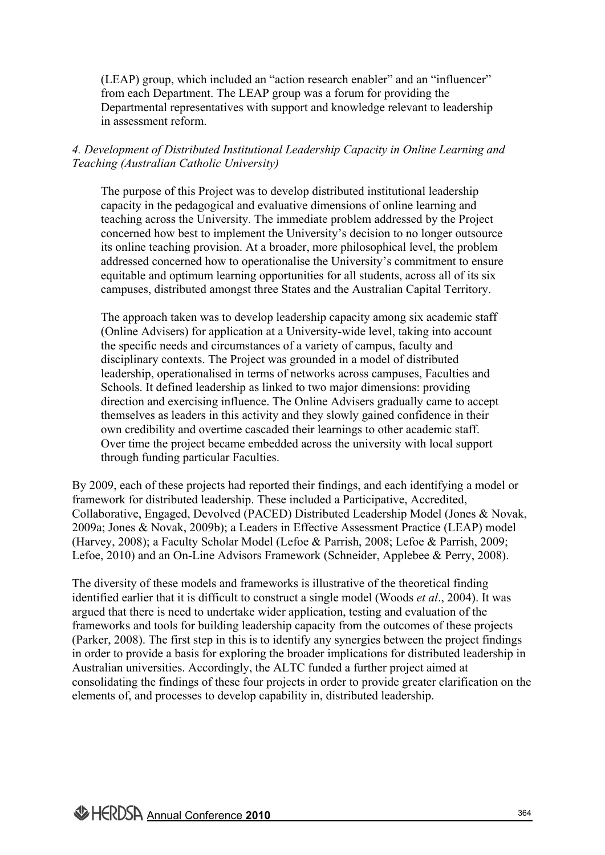(LEAP) group, which included an "action research enabler" and an "influencer" from each Department. The LEAP group was a forum for providing the Departmental representatives with support and knowledge relevant to leadership in assessment reform.

## *4. Development of Distributed Institutional Leadership Capacity in Online Learning and Teaching (Australian Catholic University)*

The purpose of this Project was to develop distributed institutional leadership capacity in the pedagogical and evaluative dimensions of online learning and teaching across the University. The immediate problem addressed by the Project concerned how best to implement the University's decision to no longer outsource its online teaching provision. At a broader, more philosophical level, the problem addressed concerned how to operationalise the University's commitment to ensure equitable and optimum learning opportunities for all students, across all of its six campuses, distributed amongst three States and the Australian Capital Territory.

The approach taken was to develop leadership capacity among six academic staff (Online Advisers) for application at a University-wide level, taking into account the specific needs and circumstances of a variety of campus, faculty and disciplinary contexts. The Project was grounded in a model of distributed leadership, operationalised in terms of networks across campuses, Faculties and Schools. It defined leadership as linked to two major dimensions: providing direction and exercising influence. The Online Advisers gradually came to accept themselves as leaders in this activity and they slowly gained confidence in their own credibility and overtime cascaded their learnings to other academic staff. Over time the project became embedded across the university with local support through funding particular Faculties.

By 2009, each of these projects had reported their findings, and each identifying a model or framework for distributed leadership. These included a Participative, Accredited, Collaborative, Engaged, Devolved (PACED) Distributed Leadership Model (Jones & Novak, 2009a; Jones & Novak, 2009b); a Leaders in Effective Assessment Practice (LEAP) model (Harvey, 2008); a Faculty Scholar Model (Lefoe & Parrish, 2008; Lefoe & Parrish, 2009; Lefoe, 2010) and an On-Line Advisors Framework (Schneider, Applebee & Perry, 2008).

The diversity of these models and frameworks is illustrative of the theoretical finding identified earlier that it is difficult to construct a single model (Woods *et al*., 2004). It was argued that there is need to undertake wider application, testing and evaluation of the frameworks and tools for building leadership capacity from the outcomes of these projects (Parker, 2008). The first step in this is to identify any synergies between the project findings in order to provide a basis for exploring the broader implications for distributed leadership in Australian universities. Accordingly, the ALTC funded a further project aimed at consolidating the findings of these four projects in order to provide greater clarification on the elements of, and processes to develop capability in, distributed leadership.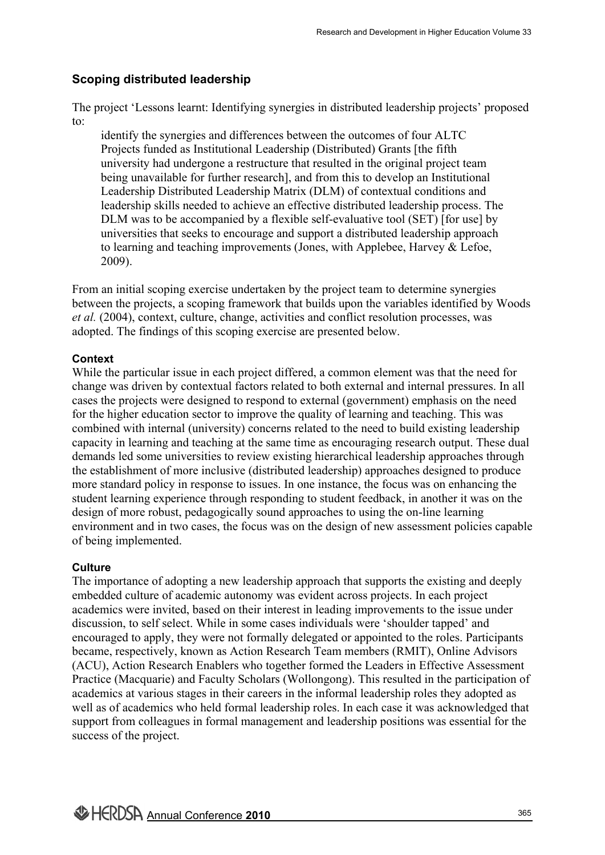## **Scoping distributed leadership**

The project 'Lessons learnt: Identifying synergies in distributed leadership projects' proposed to:

identify the synergies and differences between the outcomes of four ALTC Projects funded as Institutional Leadership (Distributed) Grants [the fifth university had undergone a restructure that resulted in the original project team being unavailable for further research], and from this to develop an Institutional Leadership Distributed Leadership Matrix (DLM) of contextual conditions and leadership skills needed to achieve an effective distributed leadership process. The DLM was to be accompanied by a flexible self-evaluative tool (SET) [for use] by universities that seeks to encourage and support a distributed leadership approach to learning and teaching improvements (Jones, with Applebee, Harvey & Lefoe, 2009).

From an initial scoping exercise undertaken by the project team to determine synergies between the projects, a scoping framework that builds upon the variables identified by Woods *et al.* (2004), context, culture, change, activities and conflict resolution processes, was adopted. The findings of this scoping exercise are presented below.

## **Context**

While the particular issue in each project differed, a common element was that the need for change was driven by contextual factors related to both external and internal pressures. In all cases the projects were designed to respond to external (government) emphasis on the need for the higher education sector to improve the quality of learning and teaching. This was combined with internal (university) concerns related to the need to build existing leadership capacity in learning and teaching at the same time as encouraging research output. These dual demands led some universities to review existing hierarchical leadership approaches through the establishment of more inclusive (distributed leadership) approaches designed to produce more standard policy in response to issues. In one instance, the focus was on enhancing the student learning experience through responding to student feedback, in another it was on the design of more robust, pedagogically sound approaches to using the on-line learning environment and in two cases, the focus was on the design of new assessment policies capable of being implemented. Research and Development in Higher Education Volume 33<br>
in distributed leadership projects' proposed<br>
en the original project team<br>
esuited in the original project team<br>
from this to develop an Institutional<br>
DIM ) of cont

## **Culture**

The importance of adopting a new leadership approach that supports the existing and deeply embedded culture of academic autonomy was evident across projects. In each project academics were invited, based on their interest in leading improvements to the issue under discussion, to self select. While in some cases individuals were 'shoulder tapped' and encouraged to apply, they were not formally delegated or appointed to the roles. Participants became, respectively, known as Action Research Team members (RMIT), Online Advisors (ACU), Action Research Enablers who together formed the Leaders in Effective Assessment Practice (Macquarie) and Faculty Scholars (Wollongong). This resulted in the participation of academics at various stages in their careers in the informal leadership roles they adopted as well as of academics who held formal leadership roles. In each case it was acknowledged that support from colleagues in formal management and leadership positions was essential for the success of the project.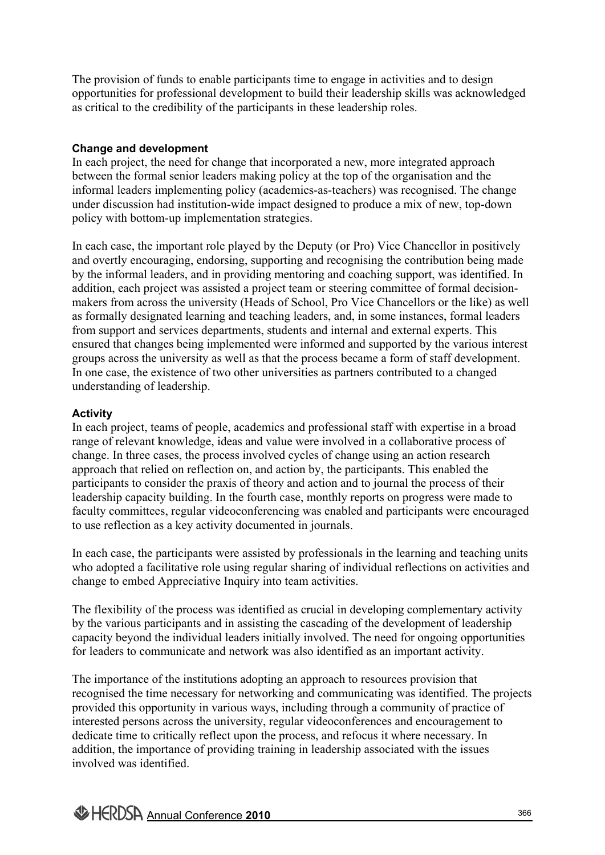The provision of funds to enable participants time to engage in activities and to design opportunities for professional development to build their leadership skills was acknowledged as critical to the credibility of the participants in these leadership roles.

## **Change and development**

In each project, the need for change that incorporated a new, more integrated approach between the formal senior leaders making policy at the top of the organisation and the informal leaders implementing policy (academics-as-teachers) was recognised. The change under discussion had institution-wide impact designed to produce a mix of new, top-down policy with bottom-up implementation strategies.

In each case, the important role played by the Deputy (or Pro) Vice Chancellor in positively and overtly encouraging, endorsing, supporting and recognising the contribution being made by the informal leaders, and in providing mentoring and coaching support, was identified. In addition, each project was assisted a project team or steering committee of formal decisionmakers from across the university (Heads of School, Pro Vice Chancellors or the like) as well as formally designated learning and teaching leaders, and, in some instances, formal leaders from support and services departments, students and internal and external experts. This ensured that changes being implemented were informed and supported by the various interest groups across the university as well as that the process became a form of staff development. In one case, the existence of two other universities as partners contributed to a changed understanding of leadership.

## **Activity**

In each project, teams of people, academics and professional staff with expertise in a broad range of relevant knowledge, ideas and value were involved in a collaborative process of change. In three cases, the process involved cycles of change using an action research approach that relied on reflection on, and action by, the participants. This enabled the participants to consider the praxis of theory and action and to journal the process of their leadership capacity building. In the fourth case, monthly reports on progress were made to faculty committees, regular videoconferencing was enabled and participants were encouraged to use reflection as a key activity documented in journals.

In each case, the participants were assisted by professionals in the learning and teaching units who adopted a facilitative role using regular sharing of individual reflections on activities and change to embed Appreciative Inquiry into team activities.

The flexibility of the process was identified as crucial in developing complementary activity by the various participants and in assisting the cascading of the development of leadership capacity beyond the individual leaders initially involved. The need for ongoing opportunities for leaders to communicate and network was also identified as an important activity.

The importance of the institutions adopting an approach to resources provision that recognised the time necessary for networking and communicating was identified. The projects provided this opportunity in various ways, including through a community of practice of interested persons across the university, regular videoconferences and encouragement to dedicate time to critically reflect upon the process, and refocus it where necessary. In addition, the importance of providing training in leadership associated with the issues involved was identified.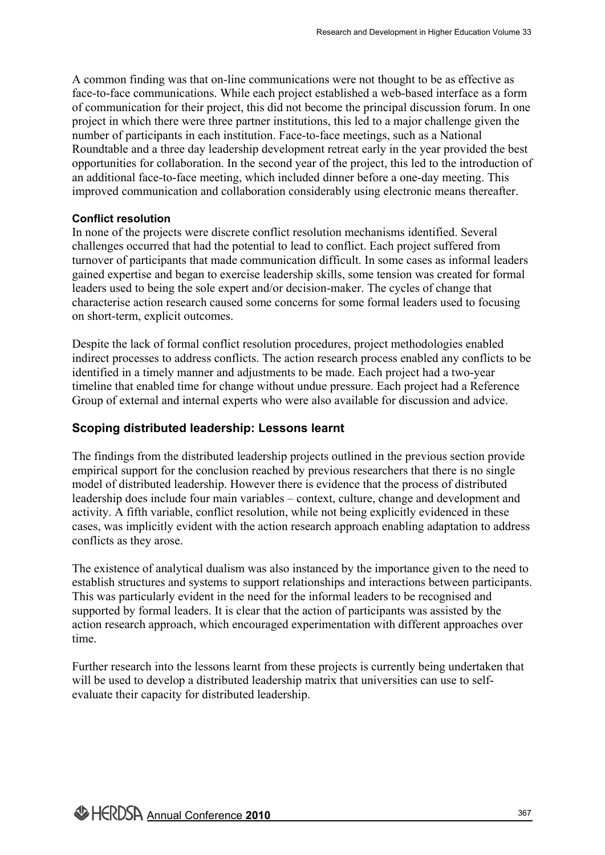A common finding was that on-line communications were not thought to be as effective as face-to-face communications. While each project established a web-based interface as a form of communication for their project, this did not become the principal discussion forum. In one project in which there were three partner institutions, this led to a major challenge given the number of participants in each institution. Face-to-face meetings, such as a National Roundtable and a three day leadership development retreat early in the year provided the best opportunities for collaboration. In the second year of the project, this led to the introduction of an additional face-to-face meeting, which included dinner before a one-day meeting. This improved communication and collaboration considerably using electronic means thereafter. Research and Development in Higher Education Volume 33<br>
Ins were not thought to be as effective as<br>
established a web-based interface as a form<br>
come the principal discussion forum. In one<br>
Ins, this led to a major challen

#### **Conflict resolution**

In none of the projects were discrete conflict resolution mechanisms identified. Several challenges occurred that had the potential to lead to conflict. Each project suffered from turnover of participants that made communication difficult. In some cases as informal leaders gained expertise and began to exercise leadership skills, some tension was created for formal leaders used to being the sole expert and/or decision-maker. The cycles of change that characterise action research caused some concerns for some formal leaders used to focusing on short-term, explicit outcomes.

Despite the lack of formal conflict resolution procedures, project methodologies enabled indirect processes to address conflicts. The action research process enabled any conflicts to be identified in a timely manner and adjustments to be made. Each project had a two-year timeline that enabled time for change without undue pressure. Each project had a Reference Group of external and internal experts who were also available for discussion and advice.

### **Scoping distributed leadership: Lessons learnt**

The findings from the distributed leadership projects outlined in the previous section provide empirical support for the conclusion reached by previous researchers that there is no single model of distributed leadership. However there is evidence that the process of distributed leadership does include four main variables – context, culture, change and development and activity. A fifth variable, conflict resolution, while not being explicitly evidenced in these cases, was implicitly evident with the action research approach enabling adaptation to address conflicts as they arose.

The existence of analytical dualism was also instanced by the importance given to the need to establish structures and systems to support relationships and interactions between participants. This was particularly evident in the need for the informal leaders to be recognised and supported by formal leaders. It is clear that the action of participants was assisted by the action research approach, which encouraged experimentation with different approaches over time.

Further research into the lessons learnt from these projects is currently being undertaken that will be used to develop a distributed leadership matrix that universities can use to selfevaluate their capacity for distributed leadership.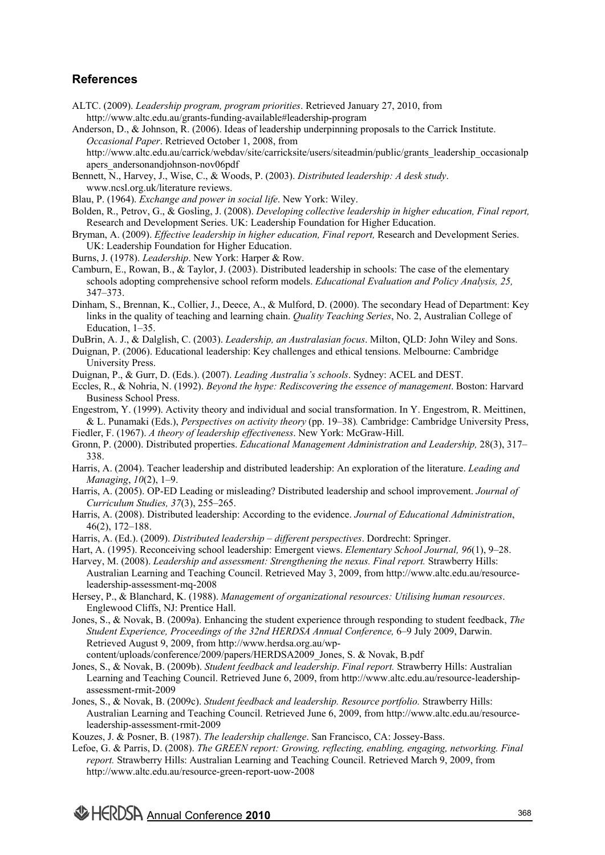## **References**

- ALTC. (2009). *Leadership program, program priorities*. Retrieved January 27, 2010, from http://www.altc.edu.au/grants-funding-available#leadership-program
- Anderson, D., & Johnson, R. (2006). Ideas of leadership underpinning proposals to the Carrick Institute. *Occasional Paper*. Retrieved October 1, 2008, from http://www.altc.edu.au/carrick/webdav/site/carricksite/users/siteadmin/public/grants\_leadership\_occasionalp apers\_andersonandjohnson-nov06pdf
- Bennett, N., Harvey, J., Wise, C., & Woods, P. (2003). *Distributed leadership: A desk study*. www.ncsl.org.uk/literature reviews.
- Blau, P. (1964). *Exchange and power in social life*. New York: Wiley.
- Bolden, R., Petrov, G., & Gosling, J. (2008). *Developing collective leadership in higher education, Final report,* Research and Development Series. UK: Leadership Foundation for Higher Education.
- Bryman, A. (2009). *Effective leadership in higher education, Final report,* Research and Development Series. UK: Leadership Foundation for Higher Education.
- Burns, J. (1978). *Leadership*. New York: Harper & Row.
- Camburn, E., Rowan, B., & Taylor, J. (2003). Distributed leadership in schools: The case of the elementary schools adopting comprehensive school reform models. *Educational Evaluation and Policy Analysis, 25,* 347–373.
- Dinham, S., Brennan, K., Collier, J., Deece, A., & Mulford, D. (2000). The secondary Head of Department: Key links in the quality of teaching and learning chain. *Quality Teaching Series*, No. 2, Australian College of Education, 1–35.
- DuBrin, A. J., & Dalglish, C. (2003). *Leadership, an Australasian focus*. Milton, QLD: John Wiley and Sons.
- Duignan, P. (2006). Educational leadership: Key challenges and ethical tensions. Melbourne: Cambridge University Press.
- Duignan, P., & Gurr, D. (Eds.). (2007). *Leading Australia's schools*. Sydney: ACEL and DEST.
- Eccles, R., & Nohria, N. (1992). *Beyond the hype: Rediscovering the essence of management*. Boston: Harvard Business School Press.
- Engestrom, Y. (1999). Activity theory and individual and social transformation. In Y. Engestrom, R. Meittinen, & L. Punamaki (Eds.), *Perspectives on activity theory* (pp. 19–38)*.* Cambridge: Cambridge University Press,
- Fiedler, F. (1967). *A theory of leadership effectiveness*. New York: McGraw-Hill.
- Gronn, P. (2000). Distributed properties. *Educational Management Administration and Leadership,* 28(3), 317– 338.
- Harris, A. (2004). Teacher leadership and distributed leadership: An exploration of the literature. *Leading and Managing*, *10*(2), 1–9.
- Harris, A. (2005). OP-ED Leading or misleading? Distributed leadership and school improvement. *Journal of Curriculum Studies, 37*(3), 255–265.
- Harris, A. (2008). Distributed leadership: According to the evidence. *Journal of Educational Administration*, 46(2), 172–188.
- Harris, A. (Ed.). (2009). *Distributed leadership different perspectives*. Dordrecht: Springer.
- Hart, A. (1995). Reconceiving school leadership: Emergent views. *Elementary School Journal, 96*(1), 9–28.
- Harvey, M. (2008). *Leadership and assessment: Strengthening the nexus. Final report.* Strawberry Hills: Australian Learning and Teaching Council. Retrieved May 3, 2009, from http://www.altc.edu.au/resourceleadership-assessment-mq-2008
- Hersey, P., & Blanchard, K. (1988). *Management of organizational resources: Utilising human resources*. Englewood Cliffs, NJ: Prentice Hall.
- Jones, S., & Novak, B. (2009a). Enhancing the student experience through responding to student feedback, *The Student Experience, Proceedings of the 32nd HERDSA Annual Conference,* 6–9 July 2009, Darwin. Retrieved August 9, 2009, from http://www.herdsa.org.au/wp
	- content/uploads/conference/2009/papers/HERDSA2009\_Jones, S. & Novak, B.pdf
- Jones, S., & Novak, B. (2009b). *Student feedback and leadership*. *Final report.* Strawberry Hills: Australian Learning and Teaching Council. Retrieved June 6, 2009, from http://www.altc.edu.au/resource-leadershipassessment-rmit-2009
- Jones, S., & Novak, B. (2009c). *Student feedback and leadership. Resource portfolio.* Strawberry Hills: Australian Learning and Teaching Council. Retrieved June 6, 2009, from http://www.altc.edu.au/resourceleadership-assessment-rmit-2009

Kouzes, J. & Posner, B. (1987). *The leadership challenge*. San Francisco, CA: Jossey-Bass.

Lefoe, G. & Parris, D. (2008). *The GREEN report: Growing, reflecting, enabling, engaging, networking. Final report.* Strawberry Hills: Australian Learning and Teaching Council. Retrieved March 9, 2009, from http://www.altc.edu.au/resource-green-report-uow-2008

Annual Conference **2010**